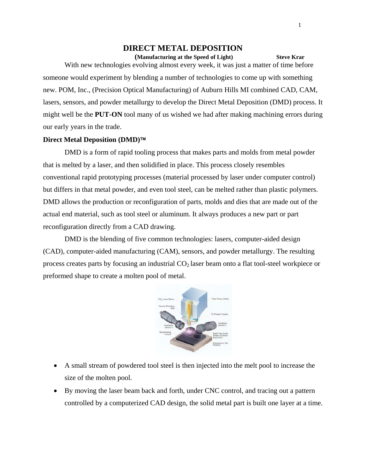# **DIRECT METAL DEPOSITION**

*<u>Manufacturing at the Speed of Light* Steve Krar</u> With new technologies evolving almost every week, it was just a matter of time before someone would experiment by blending a number of technologies to come up with something new. POM, Inc., (Precision Optical Manufacturing) of Auburn Hills MI combined CAD, CAM, lasers, sensors, and powder metallurgy to develop the Direct Metal Deposition (DMD) process. It might well be the **PUT-ON** tool many of us wished we had after making machining errors during our early years in the trade.

#### **Direct Metal Deposition (DMD)**™

DMD is a form of rapid tooling process that makes parts and molds from metal powder that is melted by a laser, and then solidified in place. This process closely resembles conventional rapid prototyping processes (material processed by laser under computer control) but differs in that metal powder, and even tool steel, can be melted rather than plastic polymers. DMD allows the production or reconfiguration of parts, molds and dies that are made out of the actual end material, such as tool steel or aluminum. It always produces a new part or part reconfiguration directly from a CAD drawing.

DMD is the blending of five common technologies: lasers, computer-aided design (CAD), computer-aided manufacturing (CAM), sensors, and powder metallurgy. The resulting process creates parts by focusing an industrial  $CO<sub>2</sub>$  laser beam onto a flat tool-steel workpiece or preformed shape to create a molten pool of metal.



- A small stream of powdered tool steel is then injected into the melt pool to increase the size of the molten pool.
- By moving the laser beam back and forth, under CNC control, and tracing out a pattern controlled by a computerized CAD design, the solid metal part is built one layer at a time.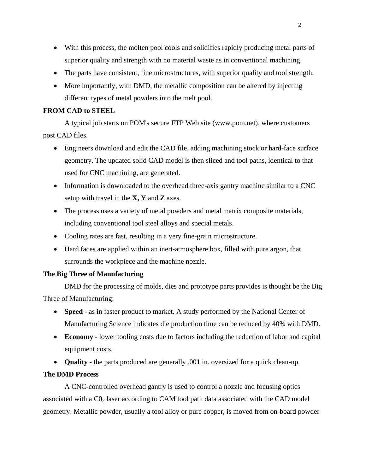- With this process, the molten pool cools and solidifies rapidly producing metal parts of superior quality and strength with no material waste as in conventional machining.
- The parts have consistent, fine microstructures, with superior quality and tool strength.
- More importantly, with DMD, the metallic composition can be altered by injecting different types of metal powders into the melt pool.

## **FROM CAD to STEEL**

A typical job starts on POM's secure FTP Web site (www.pom.net), where customers post CAD files.

- Engineers download and edit the CAD file, adding machining stock or hard-face surface geometry. The updated solid CAD model is then sliced and tool paths, identical to that used for CNC machining, are generated.
- Information is downloaded to the overhead three-axis gantry machine similar to a CNC setup with travel in the **X, Y** and **Z** axes.
- The process uses a variety of metal powders and metal matrix composite materials, including conventional tool steel alloys and special metals.
- Cooling rates are fast, resulting in a very fine-grain microstructure.
- Hard faces are applied within an inert-atmosphere box, filled with pure argon, that surrounds the workpiece and the machine nozzle.

## **The Big Three of Manufacturing**

DMD for the processing of molds, dies and prototype parts provides is thought be the Big Three of Manufacturing:

- **Speed** as in faster product to market. A study performed by the National Center of Manufacturing Science indicates die production time can be reduced by 40% with DMD.
- **Economy** lower tooling costs due to factors including the reduction of labor and capital equipment costs.
- **Quality** the parts produced are generally .001 in. oversized for a quick clean-up.

## **The DMD Process**

A CNC-controlled overhead gantry is used to control a nozzle and focusing optics associated with a  $CO<sub>2</sub>$  laser according to CAM tool path data associated with the CAD model geometry. Metallic powder, usually a tool alloy or pure copper, is moved from on-board powder